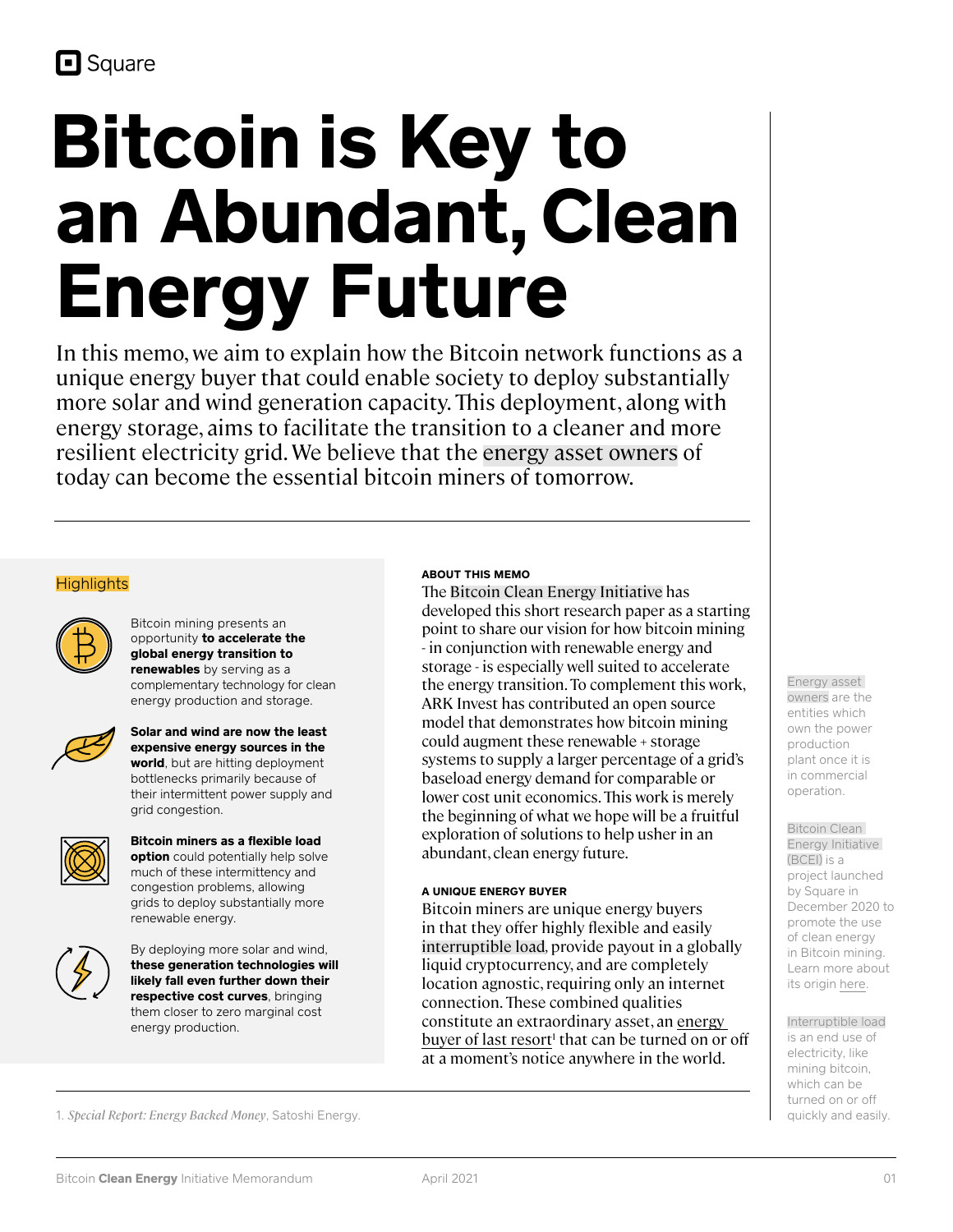# **Bitcoin is Key to an Abundant, Clean Energy Future**

In this memo, we aim to explain how the Bitcoin network functions as a unique energy buyer that could enable society to deploy substantially more solar and wind generation capacity. This deployment, along with energy storage, aims to facilitate the transition to a cleaner and more resilient electricity grid. We believe that the energy asset owners of today can become the essential bitcoin miners of tomorrow.

# **Highlights**



Bitcoin mining presents an opportunity **to accelerate the global energy transition to renewables** by serving as a complementary technology for clean energy production and storage.



**Solar and wind are now the least expensive energy sources in the world**, but are hitting deployment bottlenecks primarily because of their intermittent power supply and grid congestion.



**Bitcoin miners as a flexible load option** could potentially help solve much of these intermittency and congestion problems, allowing grids to deploy substantially more renewable energy.



By deploying more solar and wind, **these generation technologies will likely fall even further down their respective cost curves**, bringing them closer to zero marginal cost energy production.

#### **ABOUT THIS MEMO**

The Bitcoin Clean Energy Initiative has developed this short research paper as a starting point to share our vision for how bitcoin mining - in conjunction with renewable energy and storage - is especially well suited to accelerate the energy transition. To complement this work, ARK Invest has contributed an open source model that demonstrates how bitcoin mining could augment these renewable + storage systems to supply a larger percentage of a grid's baseload energy demand for comparable or lower cost unit economics. This work is merely the beginning of what we hope will be a fruitful exploration of solutions to help usher in an abundant, clean energy future.

#### **A UNIQUE ENERGY BUYER**

Bitcoin miners are unique energy buyers in that they offer highly flexible and easily interruptible load*,* provide payout in a globally liquid cryptocurrency, and are completely location agnostic, requiring only an internet connection. These combined qualities constitute an extraordinary asset, an [energy](https://research.satoshienergy.com/special-report-energy-backed-money/)  [buyer of last resort](https://research.satoshienergy.com/special-report-energy-backed-money/)<sup>1</sup> that can be turned on or off at a moment's notice anywhere in the world.

Energy asset owners are the entities which own the power production plant once it is in commercial operation.

Bitcoin Clean Energy Initiative (BCEI) is a project launched by Square in December 2020 to promote the use of clean energy in Bitcoin mining. Learn more about its origin [here](https://squareup.com/us/en/press/carbon).

Interruptible load is an end use of electricity, like mining bitcoin, which can be turned on or off quickly and easily.

1. *Special Report: Energy Backed Money*, Satoshi Energy.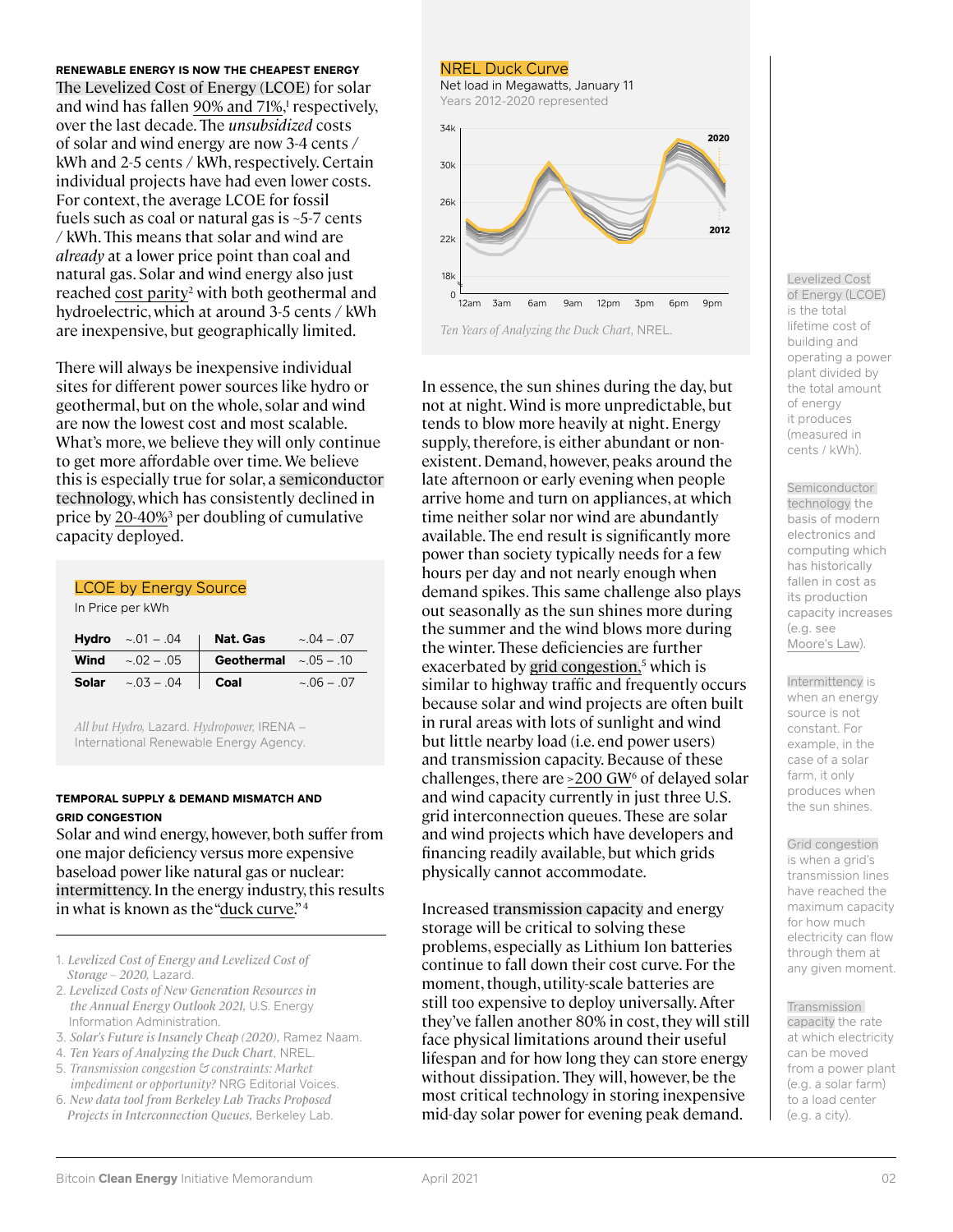#### **RENEWABLE ENERGY IS NOW THE CHEAPEST ENERGY**

The Levelized Cost of Energy (LCOE) for solar and wind has fallen [90% and 71%,](https://www.lazard.com/perspective/lcoe2020?utm_source=newsletter&utm_medium=email&utm_campaign=newsletter_axiosgenerate&stream=top)<sup>1</sup> respectively, over the last decade. The *unsubsidized* costs of solar and wind energy are now 3-4 cents / kWh and 2-5 cents / kWh, respectively. Certain individual projects have had even lower costs. For context, the average LCOE for fossil fuels such as coal or natural gas is ~5-7 cents / kWh. This means that solar and wind are *already* at a lower price point than coal and natural gas. Solar and wind energy also just reached cost parity<sup>2</sup> with both geothermal and hydroelectric, which at around 3-5 cents / kWh are inexpensive, but geographically limited.

There will always be inexpensive individual sites for different power sources like hydro or geothermal, but on the whole, solar and wind are now the lowest cost and most scalable. What's more, we believe they will only continue to get more affordable over time. We believe this is especially true for solar, a semiconductor technology, which has consistently declined in price by [20-40%3](https://rameznaam.com/2020/05/14/solars-future-is-insanely-cheap-2020/) per doubling of cumulative capacity deployed.

#### LCOE by Energy Source

In Price per kWh

|       | <b>Hydro</b> $\sim 01 - 04$    | Nat. Gas                  | $\sim 0.04 - 0.07$ |
|-------|--------------------------------|---------------------------|--------------------|
|       | <b>Wind</b> $\sim 0.02 - 0.05$ | Geothermal $\sim 05 - 10$ |                    |
| Solar | $\sim 0.03 - 0.04$             | Coal                      | $\sim 06 - 07$     |

*All but Hydro,* Lazard. *Hydropower,* IRENA – International Renewable Energy Agency.

## **TEMPORAL SUPPLY & DEMAND MISMATCH AND GRID CONGESTION**

Solar and wind energy, however, both suffer from one major deficiency versus more expensive baseload power like natural gas or nuclear: intermittency. In the energy industry, this results in what is known as the ["duck curve.](https://versionone.vc/the-solar-bitcoin-convergence/)"4

- 1. *Levelized Cost of Energy and Levelized Cost of Storage – 2020,* Lazard.
- 2. *Levelized Costs of New Generation Resources in the Annual Energy Outlook 2021,* U.S. Energy Information Administration.
- 3. *Solar's Future is Insanely Cheap (2020),* Ramez Naam.
- 4. *Ten Years of Analyzing the Duck Chart*, NREL.
- 5. *Transmission congestion & constraints: Market impediment or opportunity?* NRG Editorial Voices.
- 6. *New data tool from Berkeley Lab Tracks Proposed Projects in Interconnection Queues,* Berkeley Lab.

#### NREL Duck Curve

Net load in Megawatts, January 11 Years 2012-2020 represented



In essence, the sun shines during the day, but not at night. Wind is more unpredictable, but tends to blow more heavily at night. Energy supply, therefore, is either abundant or nonexistent. Demand, however, peaks around the late afternoon or early evening when people arrive home and turn on appliances, at which time neither solar nor wind are abundantly available. The end result is significantly more power than society typically needs for a few hours per day and not nearly enough when demand spikes. This same challenge also plays out seasonally as the sun shines more during the summer and the wind blows more during the winter. These deficiencies are further exacerbated by [grid congestion,](https://www.nrg.com/insights/energy-education/transmission-congestion---constraints.html#:~:text=Grid%20congestion%20occurs%20due%20to,limits%20designed%20to%20ensure%20reliability.&text=The%20business%20instead%20must%20buy,side%20of%20the%20grid%20constraint.) 5 which is similar to highway traffic and frequently occurs because solar and wind projects are often built in rural areas with lots of sunlight and wind but little nearby load (i.e. end power users) and transmission capacity. Because of these challenges, there are  $>200$  GW $<sup>6</sup>$  of delayed solar</sup> and wind capacity currently in just three U.S. grid interconnection queues. These are solar and wind projects which have developers and financing readily available, but which grids physically cannot accommodate.

Increased transmission capacity and energy storage will be critical to solving these problems, especially as Lithium Ion batteries continue to fall down their cost curve. For the moment, though, utility-scale batteries are still too expensive to deploy universally. After they've fallen another 80% in cost, they will still face physical limitations around their useful lifespan and for how long they can store energy without dissipation. They will, however, be the most critical technology in storing inexpensive mid-day solar power for evening peak demand.

#### Levelized Cost of Energy (LCOE) is the total lifetime cost of building and operating a power plant divided by the total amount of energy it produces (measured in cents / kWh).

**Semiconductor** technology the basis of modern electronics and computing which has historically fallen in cost as its production capacity increases (e.g. see [Moore's Law](https://en.wikipedia.org/wiki/Moore%27s_law)).

Intermittency is when an energy source is not constant. For example, in the case of a solar farm, it only produces when the sun shines.

Grid congestion is when a grid's transmission lines have reached the maximum capacity for how much electricity can flow through them at any given moment.

Transmission capacity the rate at which electricity can be moved from a power plant (e.g. a solar farm) to a load center (e.g. a city).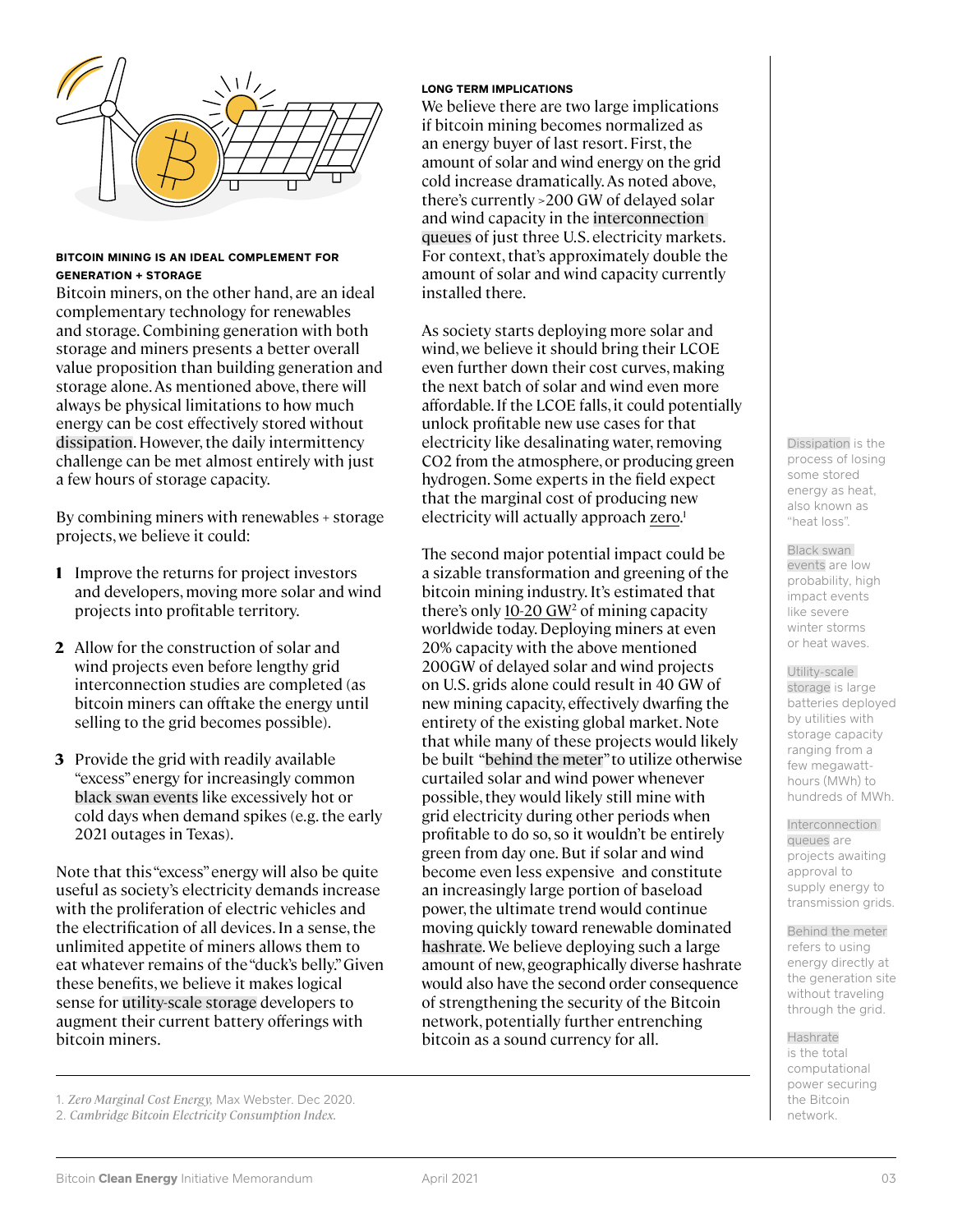

### **BITCOIN MINING IS AN IDEAL COMPLEMENT FOR GENERATION + STORAGE**

Bitcoin miners, on the other hand, are an ideal complementary technology for renewables and storage. Combining generation with both storage and miners presents a better overall value proposition than building generation and storage alone. As mentioned above, there will always be physical limitations to how much energy can be cost effectively stored without dissipation. However, the daily intermittency challenge can be met almost entirely with just a few hours of storage capacity.

By combining miners with renewables + storage projects, we believe it could:

- Improve the returns for project investors **1** and developers, moving more solar and wind projects into profitable territory.
- Allow for the construction of solar and **2** wind projects even before lengthy grid interconnection studies are completed (as bitcoin miners can offtake the energy until selling to the grid becomes possible).
- **3** Provide the grid with readily available "excess" energy for increasingly common black swan events like excessively hot or cold days when demand spikes (e.g. the early 2021 outages in Texas).

Note that this "excess" energy will also be quite useful as society's electricity demands increase with the proliferation of electric vehicles and the electrification of all devices. In a sense, the unlimited appetite of miners allows them to eat whatever remains of the "duck's belly." Given these benefits, we believe it makes logical sense for utility-scale storage developers to augment their current battery offerings with bitcoin miners.

## **LONG TERM IMPLICATIONS**

We believe there are two large implications if bitcoin mining becomes normalized as an energy buyer of last resort. First, the amount of solar and wind energy on the grid cold increase dramatically. As noted above, there's currently >200 GW of delayed solar and wind capacity in the interconnection queues of just three U.S. electricity markets. For context, that's approximately double the amount of solar and wind capacity currently installed there.

As society starts deploying more solar and wind, we believe it should bring their LCOE even further down their cost curves, making the next batch of solar and wind even more affordable. If the LCOE falls, it could potentially unlock profitable new use cases for that electricity like desalinating water, removing CO2 from the atmosphere, or producing green hydrogen. Some experts in the field expect that the marginal cost of producing new electricity will actually approach [zero.](https://versionone.vc/zero-marginal-cost-energy/)<sup>1</sup>

The second major potential impact could be a sizable transformation and greening of the bitcoin mining industry. It's estimated that there's only 10-20  $GW<sup>2</sup>$  of mining capacity worldwide today. Deploying miners at even 20% capacity with the above mentioned 200GW of delayed solar and wind projects on U.S. grids alone could result in 40 GW of new mining capacity, effectively dwarfing the entirety of the existing global market. Note that while many of these projects would likely be built "behind the meter" to utilize otherwise curtailed solar and wind power whenever possible, they would likely still mine with grid electricity during other periods when profitable to do so, so it wouldn't be entirely green from day one. But if solar and wind become even less expensive and constitute an increasingly large portion of baseload power, the ultimate trend would continue moving quickly toward renewable dominated hashrate. We believe deploying such a large amount of new, geographically diverse hashrate would also have the second order consequence of strengthening the security of the Bitcoin network, potentially further entrenching bitcoin as a sound currency for all.

Dissipation is the process of losing some stored energy as heat, also known as "heat loss".

Black swan events are low probability, high impact events like severe winter storms or heat waves.

Utility-scale storage is large batteries deployed by utilities with storage capacity ranging from a few megawatthours (MWh) to hundreds of MWh.

**Interconnection** queues are projects awaiting approval to supply energy to transmission grids.

Behind the meter refers to using energy directly at the generation site without traveling through the grid.

Hashrate is the total computational power securing the Bitcoin network.

<sup>1.</sup> *Zero Marginal Cost Energy,* Max Webster. Dec 2020.

<sup>2.</sup> *Cambridge Bitcoin Electricity Consumption Index.*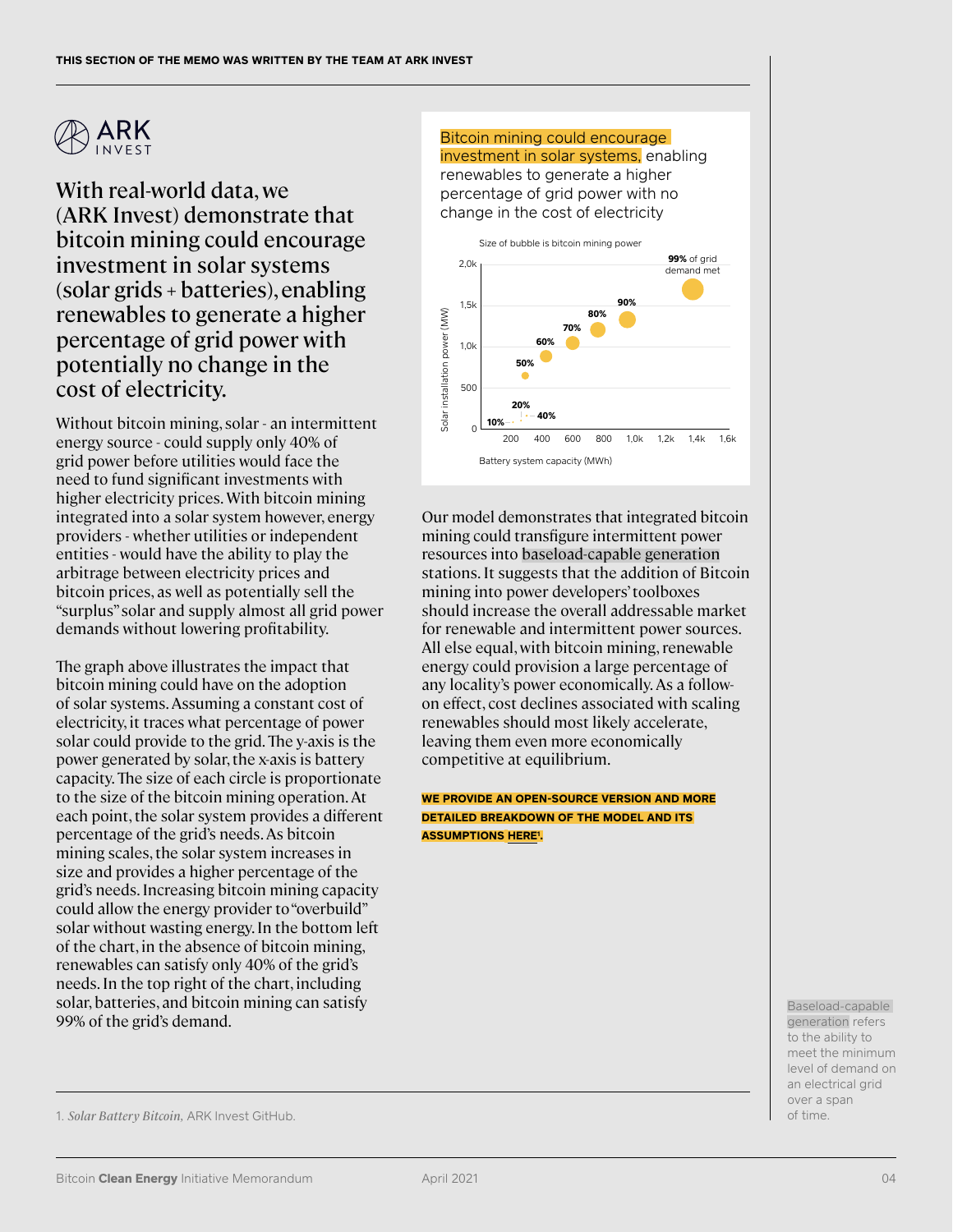

With real-world data, we (ARK Invest) demonstrate that bitcoin mining could encourage investment in solar systems (solar grids + batteries), enabling renewables to generate a higher percentage of grid power with potentially no change in the cost of electricity.

Without bitcoin mining, solar - an intermittent energy source - could supply only 40% of grid power before utilities would face the need to fund significant investments with higher electricity prices. With bitcoin mining integrated into a solar system however, energy providers - whether utilities or independent entities - would have the ability to play the arbitrage between electricity prices and bitcoin prices, as well as potentially sell the "surplus" solar and supply almost all grid power demands without lowering profitability.

The graph above illustrates the impact that bitcoin mining could have on the adoption of solar systems. Assuming a constant cost of electricity, it traces what percentage of power solar could provide to the grid. The y-axis is the power generated by solar, the x-axis is battery capacity. The size of each circle is proportionate to the size of the bitcoin mining operation. At each point, the solar system provides a different percentage of the grid's needs. As bitcoin mining scales, the solar system increases in size and provides a higher percentage of the grid's needs. Increasing bitcoin mining capacity could allow the energy provider to "overbuild" solar without wasting energy. In the bottom left of the chart, in the absence of bitcoin mining, renewables can satisfy only 40% of the grid's needs. In the top right of the chart, including solar, batteries, and bitcoin mining can satisfy 99% of the grid's demand.

Bitcoin mining could encourage investment in solar systems, enabling renewables to generate a higher percentage of grid power with no change in the cost of electricity



Our model demonstrates that integrated bitcoin mining could transfigure intermittent power resources into baseload-capable generation stations. It suggests that the addition of Bitcoin mining into power developers' toolboxes should increase the overall addressable market for renewable and intermittent power sources. All else equal, with bitcoin mining, renewable energy could provision a large percentage of any locality's power economically. As a followon effect, cost declines associated with scaling renewables should most likely accelerate, leaving them even more economically competitive at equilibrium.

**WE PROVIDE AN OPEN-SOURCE VERSION AND MORE DETAILED BREAKDOWN OF THE MODEL AND ITS ASSUMPTIONS [HERE](https://github.com/ARKInvest/SolarBatteryBitcoin)1 .**

> Baseload-capable generation refers to the ability to meet the minimum level of demand on an electrical grid over a span of time.

1. *Solar Battery Bitcoin,* ARK Invest GitHub.